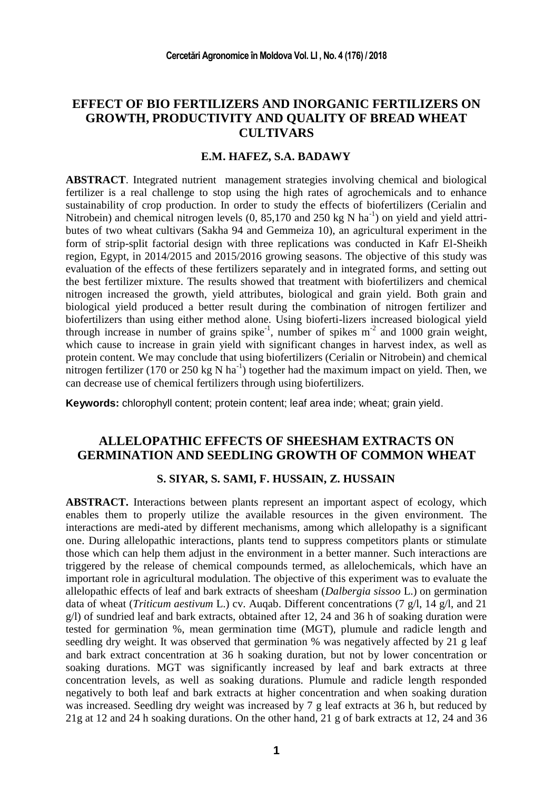# **EFFECT OF BIO FERTILIZERS AND INORGANIC FERTILIZERS ON GROWTH, PRODUCTIVITY AND QUALITY OF BREAD WHEAT CULTIVARS**

### **E.M. HAFEZ, S.A. BADAWY**

**ABSTRACT**. Integrated nutrient management strategies involving chemical and biological fertilizer is a real challenge to stop using the high rates of agrochemicals and to enhance sustainability of crop production. In order to study the effects of biofertilizers (Cerialin and Nitrobein) and chemical nitrogen levels  $(0, 85, 170)$  and  $250$  kg N ha<sup>-1</sup>) on yield and yield attributes of two wheat cultivars (Sakha 94 and Gemmeiza 10), an agricultural experiment in the form of strip-split factorial design with three replications was conducted in Kafr El-Sheikh region, Egypt, in 2014/2015 and 2015/2016 growing seasons. The objective of this study was evaluation of the effects of these fertilizers separately and in integrated forms, and setting out the best fertilizer mixture. The results showed that treatment with biofertilizers and chemical nitrogen increased the growth, yield attributes, biological and grain yield. Both grain and biological yield produced a better result during the combination of nitrogen fertilizer and biofertilizers than using either method alone. Using bioferti-lizers increased biological yield through increase in number of grains spike<sup>-1</sup>, number of spikes  $m<sup>-2</sup>$  and 1000 grain weight, which cause to increase in grain yield with significant changes in harvest index, as well as protein content. We may conclude that using biofertilizers (Cerialin or Nitrobein) and chemical nitrogen fertilizer (170 or 250 kg N ha<sup>-1</sup>) together had the maximum impact on yield. Then, we can decrease use of chemical fertilizers through using biofertilizers.

**Keywords:** chlorophyll content; protein content; leaf area inde; wheat; grain yield.

## **ALLELOPATHIC EFFECTS OF SHEESHAM EXTRACTS ON GERMINATION AND SEEDLING GROWTH OF COMMON WHEAT**

#### **S. SIYAR, S. SAMI, F. HUSSAIN, Z. HUSSAIN**

**ABSTRACT.** Interactions between plants represent an important aspect of ecology, which enables them to properly utilize the available resources in the given environment. The interactions are medi-ated by different mechanisms, among which allelopathy is a significant one. During allelopathic interactions, plants tend to suppress competitors plants or stimulate those which can help them adjust in the environment in a better manner. Such interactions are triggered by the release of chemical compounds termed, as allelochemicals, which have an important role in agricultural modulation. The objective of this experiment was to evaluate the allelopathic effects of leaf and bark extracts of sheesham (*Dalbergia sissoo* L.) on germination data of wheat (*Triticum aestivum* L.) cv. Auqab. Different concentrations (7 g/l, 14 g/l, and 21 g/l) of sundried leaf and bark extracts, obtained after 12, 24 and 36 h of soaking duration were tested for germination %, mean germination time (MGT), plumule and radicle length and seedling dry weight. It was observed that germination % was negatively affected by 21 g leaf and bark extract concentration at 36 h soaking duration, but not by lower concentration or soaking durations. MGT was significantly increased by leaf and bark extracts at three concentration levels, as well as soaking durations. Plumule and radicle length responded negatively to both leaf and bark extracts at higher concentration and when soaking duration was increased. Seedling dry weight was increased by 7 g leaf extracts at 36 h, but reduced by 21g at 12 and 24 h soaking durations. On the other hand, 21 g of bark extracts at 12, 24 and 36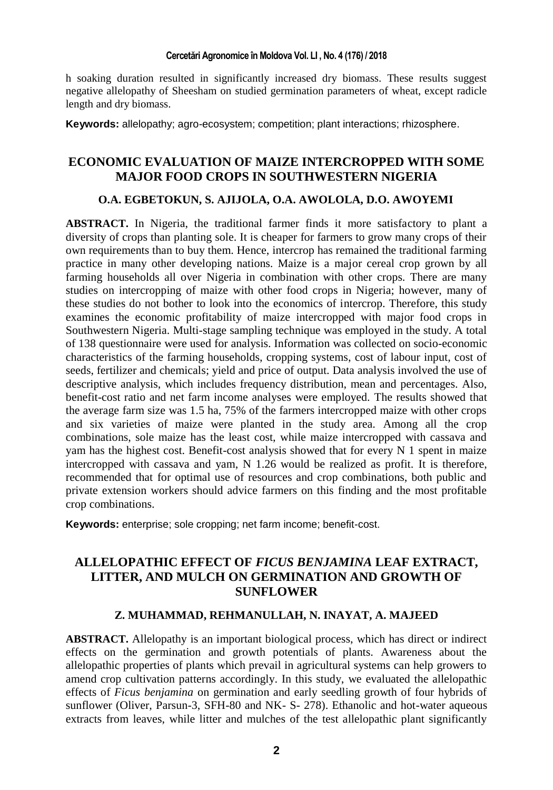h soaking duration resulted in significantly increased dry biomass. These results suggest negative allelopathy of Sheesham on studied germination parameters of wheat, except radicle length and dry biomass.

**Keywords:** allelopathy; agro-ecosystem; competition; plant interactions; rhizosphere.

## **ECONOMIC EVALUATION OF MAIZE INTERCROPPED WITH SOME MAJOR FOOD CROPS IN SOUTHWESTERN NIGERIA**

### **O.A. EGBETOKUN, S. AJIJOLA, O.A. AWOLOLA, D.O. AWOYEMI**

**ABSTRACT.** In Nigeria, the traditional farmer finds it more satisfactory to plant a diversity of crops than planting sole. It is cheaper for farmers to grow many crops of their own requirements than to buy them. Hence, intercrop has remained the traditional farming practice in many other developing nations. Maize is a major cereal crop grown by all farming households all over Nigeria in combination with other crops. There are many studies on intercropping of maize with other food crops in Nigeria; however, many of these studies do not bother to look into the economics of intercrop. Therefore, this study examines the economic profitability of maize intercropped with major food crops in Southwestern Nigeria. Multi-stage sampling technique was employed in the study. A total of 138 questionnaire were used for analysis. Information was collected on socio-economic characteristics of the farming households, cropping systems, cost of labour input, cost of seeds, fertilizer and chemicals; yield and price of output. Data analysis involved the use of descriptive analysis, which includes frequency distribution, mean and percentages. Also, benefit-cost ratio and net farm income analyses were employed. The results showed that the average farm size was 1.5 ha, 75% of the farmers intercropped maize with other crops and six varieties of maize were planted in the study area. Among all the crop combinations, sole maize has the least cost, while maize intercropped with cassava and yam has the highest cost. Benefit-cost analysis showed that for every N 1 spent in maize intercropped with cassava and yam, N 1.26 would be realized as profit. It is therefore, recommended that for optimal use of resources and crop combinations, both public and private extension workers should advice farmers on this finding and the most profitable crop combinations.

**Keywords:** enterprise; sole cropping; net farm income; benefit-cost.

# **ALLELOPATHIC EFFECT OF** *FICUS BENJAMINA* **LEAF EXTRACT, LITTER, AND MULCH ON GERMINATION AND GROWTH OF SUNFLOWER**

### **Z. MUHAMMAD, REHMANULLAH, N. INAYAT, A. MAJEED**

**ABSTRACT.** Allelopathy is an important biological process, which has direct or indirect effects on the germination and growth potentials of plants. Awareness about the allelopathic properties of plants which prevail in agricultural systems can help growers to amend crop cultivation patterns accordingly. In this study, we evaluated the allelopathic effects of *Ficus benjamina* on germination and early seedling growth of four hybrids of sunflower (Oliver, Parsun-3, SFH-80 and NK- S- 278). Ethanolic and hot-water aqueous extracts from leaves, while litter and mulches of the test allelopathic plant significantly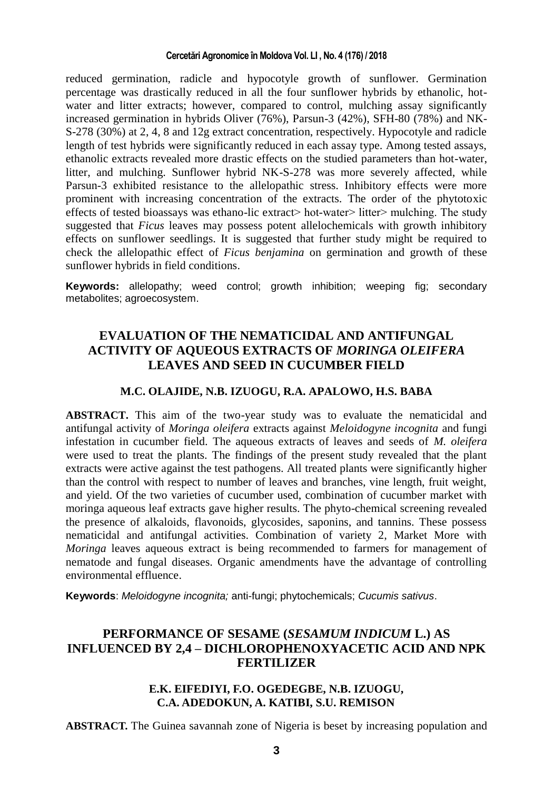reduced germination, radicle and hypocotyle growth of sunflower. Germination percentage was drastically reduced in all the four sunflower hybrids by ethanolic, hotwater and litter extracts; however, compared to control, mulching assay significantly increased germination in hybrids Oliver (76%), Parsun-3 (42%), SFH-80 (78%) and NK-S-278 (30%) at 2, 4, 8 and 12g extract concentration, respectively. Hypocotyle and radicle length of test hybrids were significantly reduced in each assay type. Among tested assays, ethanolic extracts revealed more drastic effects on the studied parameters than hot-water, litter, and mulching. Sunflower hybrid NK-S-278 was more severely affected, while Parsun-3 exhibited resistance to the allelopathic stress. Inhibitory effects were more prominent with increasing concentration of the extracts. The order of the phytotoxic effects of tested bioassays was ethano-lic extract> hot-water> litter> mulching. The study suggested that *Ficus* leaves may possess potent allelochemicals with growth inhibitory effects on sunflower seedlings. It is suggested that further study might be required to check the allelopathic effect of *Ficus benjamina* on germination and growth of these sunflower hybrids in field conditions.

**Keywords:** allelopathy; weed control; growth inhibition; weeping fig; secondary metabolites; agroecosystem.

# **EVALUATION OF THE NEMATICIDAL AND ANTIFUNGAL ACTIVITY OF AQUEOUS EXTRACTS OF** *MORINGA OLEIFERA* **LEAVES AND SEED IN CUCUMBER FIELD**

### **M.C. OLAJIDE, N.B. IZUOGU, R.A. APALOWO, H.S. BABA**

**ABSTRACT.** This aim of the two-year study was to evaluate the nematicidal and antifungal activity of *Moringa oleifera* extracts against *Meloidogyne incognita* and fungi infestation in cucumber field. The aqueous extracts of leaves and seeds of *M. oleifera* were used to treat the plants. The findings of the present study revealed that the plant extracts were active against the test pathogens. All treated plants were significantly higher than the control with respect to number of leaves and branches, vine length, fruit weight, and yield. Of the two varieties of cucumber used, combination of cucumber market with moringa aqueous leaf extracts gave higher results. The phyto-chemical screening revealed the presence of alkaloids, flavonoids, glycosides, saponins, and tannins. These possess nematicidal and antifungal activities. Combination of variety 2, Market More with *Moringa* leaves aqueous extract is being recommended to farmers for management of nematode and fungal diseases. Organic amendments have the advantage of controlling environmental effluence.

**Keywords**: *Meloidogyne incognita;* anti-fungi; phytochemicals; *Cucumis sativus*.

# **PERFORMANCE OF SESAME (***SESAMUM INDICUM* **L.) AS INFLUENCED BY 2,4 – DICHLOROPHENOXYACETIC ACID AND NPK FERTILIZER**

## **E.K. EIFEDIYI, F.O. OGEDEGBE, N.B. IZUOGU, C.A. ADEDOKUN, A. KATIBI, S.U. REMISON**

**ABSTRACT.** The Guinea savannah zone of Nigeria is beset by increasing population and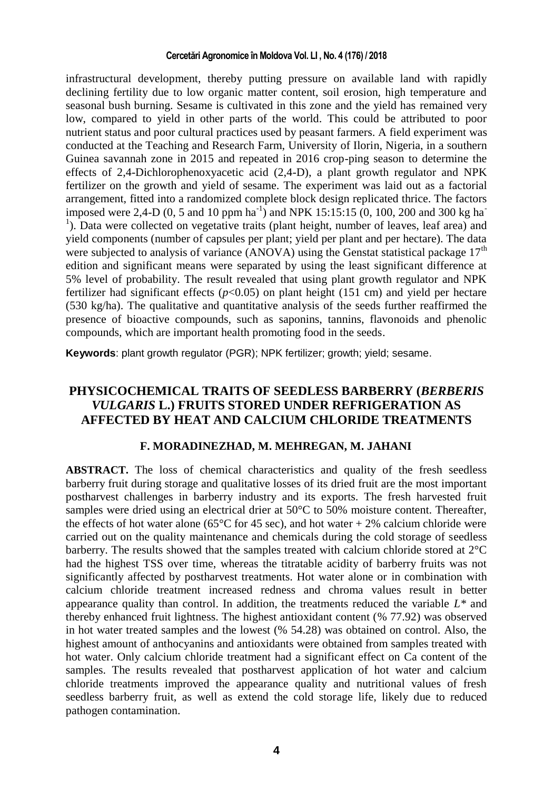infrastructural development, thereby putting pressure on available land with rapidly declining fertility due to low organic matter content, soil erosion, high temperature and seasonal bush burning. Sesame is cultivated in this zone and the yield has remained very low, compared to yield in other parts of the world. This could be attributed to poor nutrient status and poor cultural practices used by peasant farmers. A field experiment was conducted at the Teaching and Research Farm, University of Ilorin, Nigeria, in a southern Guinea savannah zone in 2015 and repeated in 2016 crop-ping season to determine the effects of 2,4-Dichlorophenoxyacetic acid (2,4-D), a plant growth regulator and NPK fertilizer on the growth and yield of sesame. The experiment was laid out as a factorial arrangement, fitted into a randomized complete block design replicated thrice. The factors imposed were 2,4-D (0, 5 and 10 ppm ha<sup>-1</sup>) and NPK 15:15:15 (0, 100, 200 and 300 kg ha<sup>-1</sup> <sup>1</sup>). Data were collected on vegetative traits (plant height, number of leaves, leaf area) and yield components (number of capsules per plant; yield per plant and per hectare). The data were subjected to analysis of variance (ANOVA) using the Genstat statistical package  $17<sup>th</sup>$ edition and significant means were separated by using the least significant difference at 5% level of probability. The result revealed that using plant growth regulator and NPK fertilizer had significant effects ( $p<0.05$ ) on plant height (151 cm) and yield per hectare (530 kg/ha). The qualitative and quantitative analysis of the seeds further reaffirmed the presence of bioactive compounds, such as saponins, tannins, flavonoids and phenolic compounds, which are important health promoting food in the seeds.

**Keywords**: plant growth regulator (PGR); NPK fertilizer; growth; yield; sesame.

# **PHYSICOCHEMICAL TRAITS OF SEEDLESS BARBERRY (***BERBERIS VULGARIS* **L.) FRUITS STORED UNDER REFRIGERATION AS AFFECTED BY HEAT AND CALCIUM CHLORIDE TREATMENTS**

### **F. MORADINEZHAD, M. MEHREGAN, M. JAHANI**

**ABSTRACT.** The loss of chemical characteristics and quality of the fresh seedless barberry fruit during storage and qualitative losses of its dried fruit are the most important postharvest challenges in barberry industry and its exports. The fresh harvested fruit samples were dried using an electrical drier at 50°C to 50% moisture content. Thereafter, the effects of hot water alone (65 $^{\circ}$ C for 45 sec), and hot water + 2% calcium chloride were carried out on the quality maintenance and chemicals during the cold storage of seedless barberry. The results showed that the samples treated with calcium chloride stored at 2°C had the highest TSS over time, whereas the titratable acidity of barberry fruits was not significantly affected by postharvest treatments. Hot water alone or in combination with calcium chloride treatment increased redness and chroma values result in better appearance quality than control. In addition, the treatments reduced the variable  $L^*$  and thereby enhanced fruit lightness. The highest antioxidant content (% 77.92) was observed in hot water treated samples and the lowest (% 54.28) was obtained on control. Also, the highest amount of anthocyanins and antioxidants were obtained from samples treated with hot water. Only calcium chloride treatment had a significant effect on Ca content of the samples. The results revealed that postharvest application of hot water and calcium chloride treatments improved the appearance quality and nutritional values of fresh seedless barberry fruit, as well as extend the cold storage life, likely due to reduced pathogen contamination.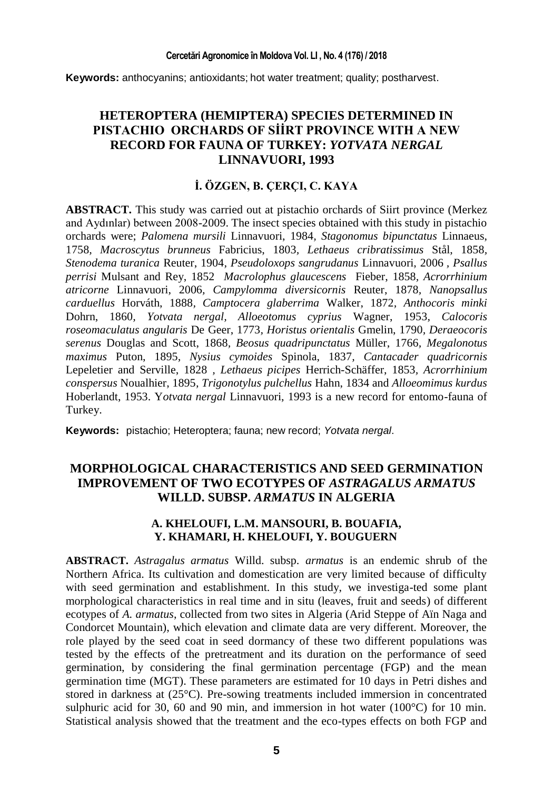**Keywords:** anthocyanins; antioxidants; hot water treatment; quality; postharvest.

# **HETEROPTERA (HEMIPTERA) SPECIES DETERMINED IN PISTACHIO ORCHARDS OF SİİRT PROVINCE WITH A NEW RECORD FOR FAUNA OF TURKEY:** *YOTVATA NERGAL* **LINNAVUORI, 1993**

## **İ. ÖZGEN, B. ÇERÇI, C. KAYA**

**ABSTRACT.** This study was carried out at pistachio orchards of Siirt province (Merkez and Aydınlar) between 2008-2009. The insect species obtained with this study in pistachio orchards were; *Palomena mursili* Linnavuori, 1984*, Stagonomus bipunctatus* Linnaeus, 1758*, Macroscytus brunneus* Fabricius, 1803*, Lethaeus cribratissimus* Stål, 1858*, Stenodema turanica* Reuter, 1904*, Pseudoloxops sangrudanus* Linnavuori, 2006 *, Psallus perrisi* Mulsant and Rey, 1852 *Macrolophus glaucescens* Fieber, 1858*, Acrorrhinium atricorne* Linnavuori, 2006*, Campylomma diversicornis* Reuter, 1878*, Nanopsallus carduellus* Horváth, 1888*, Camptocera glaberrima* Walker, 1872*, Anthocoris minki* Dohrn, 1860*, Yotvata nergal, Alloeotomus cyprius* Wagner, 1953*, Calocoris roseomaculatus angularis* De Geer, 1773*, Horistus orientalis* Gmelin, 1790*, Deraeocoris serenus* Douglas and Scott, 1868*, Beosus quadripunctatus* Müller, 1766*, Megalonotus maximus* Puton, 1895*, Nysius cymoides* Spinola, 1837*, Cantacader quadricornis*  Lepeletier and Serville, 1828 *, Lethaeus picipes* Herrich-Schäffer, 1853*, Acrorrhinium conspersus* Noualhier, 1895*, Trigonotylus pulchellus* Hahn, 1834 and *Alloeomimus kurdus*  Hoberlandt, 1953. Y*otvata nergal* Linnavuori, 1993 is a new record for entomo-fauna of Turkey.

**Keywords:** pistachio; Heteroptera; fauna; new record; *Yotvata nergal*.

# **MORPHOLOGICAL CHARACTERISTICS AND SEED GERMINATION IMPROVEMENT OF TWO ECOTYPES OF** *ASTRAGALUS ARMATUS* **WILLD. SUBSP.** *ARMATUS* **IN ALGERIA**

## **A. KHELOUFI, L.M. MANSOURI, B. BOUAFIA, Y. KHAMARI, H. KHELOUFI, Y. BOUGUERN**

**ABSTRACT.** *Astragalus armatus* Willd. subsp. *armatus* is an endemic shrub of the Northern Africa. Its cultivation and domestication are very limited because of difficulty with seed germination and establishment. In this study, we investiga-ted some plant morphological characteristics in real time and in situ (leaves, fruit and seeds) of different ecotypes of *A. armatus*, collected from two sites in Algeria (Arid Steppe of Aïn Naga and Condorcet Mountain), which elevation and climate data are very different. Moreover, the role played by the seed coat in seed dormancy of these two different populations was tested by the effects of the pretreatment and its duration on the performance of seed germination, by considering the final germination percentage (FGP) and the mean germination time (MGT). These parameters are estimated for 10 days in Petri dishes and stored in darkness at  $(25^{\circ}C)$ . Pre-sowing treatments included immersion in concentrated sulphuric acid for 30, 60 and 90 min, and immersion in hot water (100°C) for 10 min. Statistical analysis showed that the treatment and the eco-types effects on both FGP and